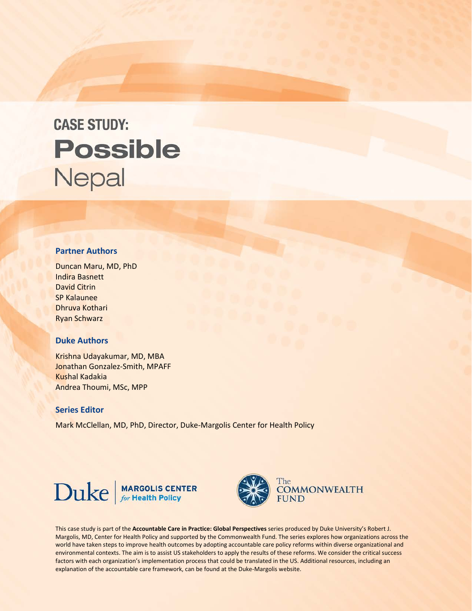# **CASE STUDY: Possible** Nepal

## **Partner Authors**

Duncan Maru, MD, PhD Indira Basnett David Citrin SP Kalaunee Dhruva Kothari Ryan Schwarz

## **Duke Authors**

Krishna Udayakumar, MD, MBA Jonathan Gonzalez-Smith, MPAFF Kushal Kadakia Andrea Thoumi, MSc, MPP

#### **Series Editor**

Mark McClellan, MD, PhD, Director, Duke-Margolis Center for Health Policy





This case study is part of the **Accountable Care in Practice: Global Perspectives** series produced by Duke University's Robert J. Margolis, MD, Center for Health Policy and supported by the Commonwealth Fund. The series explores how organizations across the world have taken steps to improve health outcomes by adopting accountable care policy reforms within diverse organizational and environmental contexts. The aim is to assist US stakeholders to apply the results of these reforms. We consider the critical success factors with each organization's implementation process that could be translated in the US. Additional resources, including an explanation of the accountable care framework, can be found at the Duke-Margolis website.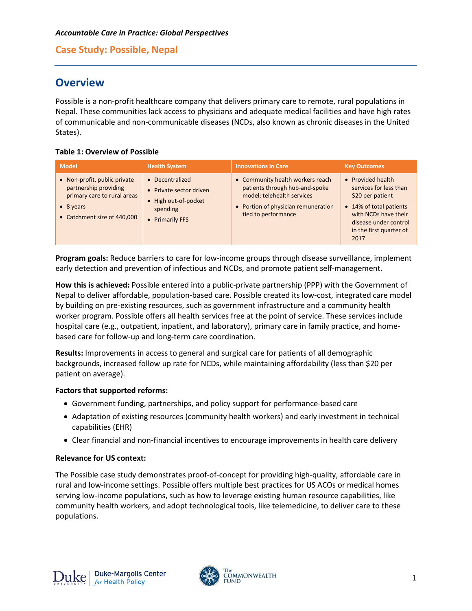# **Overview**

Possible is a non-profit healthcare company that delivers primary care to remote, rural populations in Nepal. These communities lack access to physicians and adequate medical facilities and have high rates of communicable and non-communicable diseases (NCDs, also known as chronic diseases in the United States).

## **Table 1: Overview of Possible**

| <b>Model</b>                                                                                                                             | <b>Health System</b>                                                                            | <b>Innovations in Care</b>                                                                                                                                     | <b>Key Outcomes</b>                                                                                                                                                            |
|------------------------------------------------------------------------------------------------------------------------------------------|-------------------------------------------------------------------------------------------------|----------------------------------------------------------------------------------------------------------------------------------------------------------------|--------------------------------------------------------------------------------------------------------------------------------------------------------------------------------|
| • Non-profit, public private<br>partnership providing<br>primary care to rural areas<br>$\bullet$ 8 years<br>• Catchment size of 440,000 | Decentralized<br>• Private sector driven<br>• High out-of-pocket<br>spending<br>• Primarily FFS | • Community health workers reach<br>patients through hub-and-spoke<br>model; telehealth services<br>• Portion of physician remuneration<br>tied to performance | • Provided health<br>services for less than<br>\$20 per patient<br>• 14% of total patients<br>with NCDs have their<br>disease under control<br>in the first quarter of<br>2017 |

**Program goals:** Reduce barriers to care for low-income groups through disease surveillance, implement early detection and prevention of infectious and NCDs, and promote patient self-management.

**How this is achieved:** Possible entered into a public-private partnership (PPP) with the Government of Nepal to deliver affordable, population-based care. Possible created its low-cost, integrated care model by building on pre-existing resources, such as government infrastructure and a community health worker program. Possible offers all health services free at the point of service. These services include hospital care (e.g., outpatient, inpatient, and laboratory), primary care in family practice, and homebased care for follow-up and long-term care coordination.

**Results:** Improvements in access to general and surgical care for patients of all demographic backgrounds, increased follow up rate for NCDs, while maintaining affordability (less than \$20 per patient on average).

## **Factors that supported reforms:**

- Government funding, partnerships, and policy support for performance-based care
- Adaptation of existing resources (community health workers) and early investment in technical capabilities (EHR)
- Clear financial and non-financial incentives to encourage improvements in health care delivery

## **Relevance for US context:**

The Possible case study demonstrates proof-of-concept for providing high-quality, affordable care in rural and low-income settings. Possible offers multiple best practices for US ACOs or medical homes serving low-income populations, such as how to leverage existing human resource capabilities, like community health workers, and adopt technological tools, like telemedicine, to deliver care to these populations.

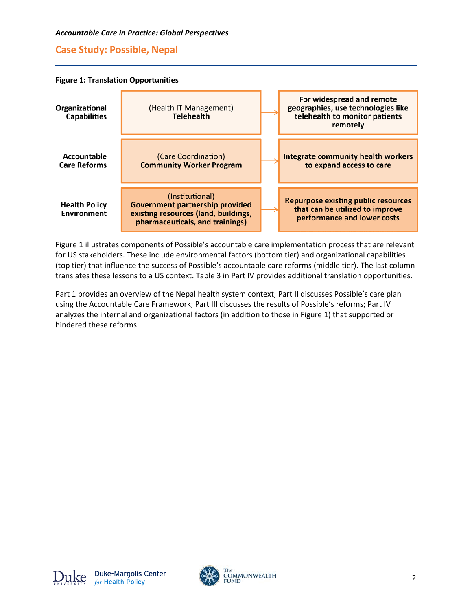



Figure 1 illustrates components of Possible's accountable care implementation process that are relevant for US stakeholders. These include environmental factors (bottom tier) and organizational capabilities (top tier) that influence the success of Possible's accountable care reforms (middle tier). The last column translates these lessons to a US context. Table 3 in Part IV provides additional translation opportunities.

Part 1 provides an overview of the Nepal health system context; Part II discusses Possible's care plan using the Accountable Care Framework; Part III discusses the results of Possible's reforms; Part IV analyzes the internal and organizational factors (in addition to those in Figure 1) that supported or hindered these reforms.

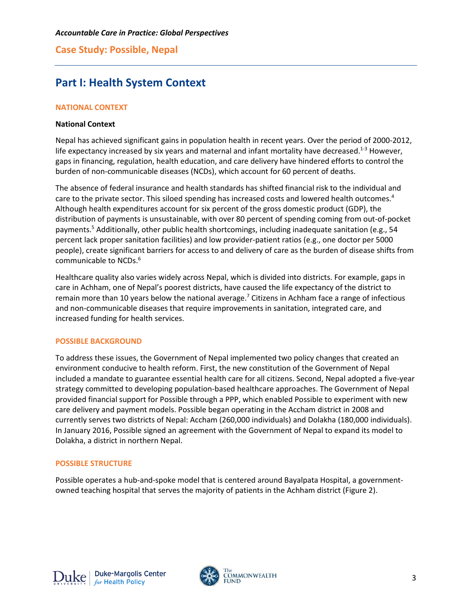# **Part I: Health System Context**

## **NATIONAL CONTEXT**

## **National Context**

Nepal has achieved significant gains in population health in recent years. Over the period of 2000-2012, life expectancy increased by six years and maternal and infant mortality have decreased.<sup>1-3</sup> However, gaps in financing, regulation, health education, and care delivery have hindered efforts to control the burden of non-communicable diseases (NCDs), which account for 60 percent of deaths.

The absence of federal insurance and health standards has shifted financial risk to the individual and care to the private sector. This siloed spending has increased costs and lowered health outcomes.<sup>4</sup> Although health expenditures account for six percent of the gross domestic product (GDP), the distribution of payments is unsustainable, with over 80 percent of spending coming from out-of-pocket payments.5 Additionally, other public health shortcomings, including inadequate sanitation (e.g., 54 percent lack proper sanitation facilities) and low provider-patient ratios (e.g., one doctor per 5000 people), create significant barriers for access to and delivery of care as the burden of disease shifts from communicable to NCDs.<sup>6</sup>

Healthcare quality also varies widely across Nepal, which is divided into districts. For example, gaps in care in Achham, one of Nepal's poorest districts, have caused the life expectancy of the district to remain more than 10 years below the national average.<sup>7</sup> Citizens in Achham face a range of infectious and non-communicable diseases that require improvements in sanitation, integrated care, and increased funding for health services.

## **POSSIBLE BACKGROUND**

To address these issues, the Government of Nepal implemented two policy changes that created an environment conducive to health reform. First, the new constitution of the Government of Nepal included a mandate to guarantee essential health care for all citizens. Second, Nepal adopted a five-year strategy committed to developing population-based healthcare approaches. The Government of Nepal provided financial support for Possible through a PPP, which enabled Possible to experiment with new care delivery and payment models. Possible began operating in the Accham district in 2008 and currently serves two districts of Nepal: Accham (260,000 individuals) and Dolakha (180,000 individuals). In January 2016, Possible signed an agreement with the Government of Nepal to expand its model to Dolakha, a district in northern Nepal.

## **POSSIBLE STRUCTURE**

Possible operates a hub-and-spoke model that is centered around Bayalpata Hospital, a governmentowned teaching hospital that serves the majority of patients in the Achham district (Figure 2).

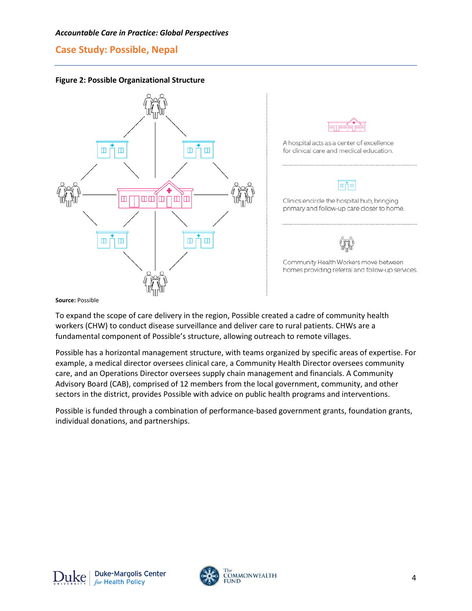

**Figure 2: Possible Organizational Structure**



**Source:** Possible

To expand the scope of care delivery in the region, Possible created a cadre of community health workers (CHW) to conduct disease surveillance and deliver care to rural patients. CHWs are a fundamental component of Possible's structure, allowing outreach to remote villages.

Possible has a horizontal management structure, with teams organized by specific areas of expertise. For example, a medical director oversees clinical care, a Community Health Director oversees community care, and an Operations Director oversees supply chain management and financials. A Community Advisory Board (CAB), comprised of 12 members from the local government, community, and other sectors in the district, provides Possible with advice on public health programs and interventions.

Possible is funded through a combination of performance-based government grants, foundation grants, individual donations, and partnerships.

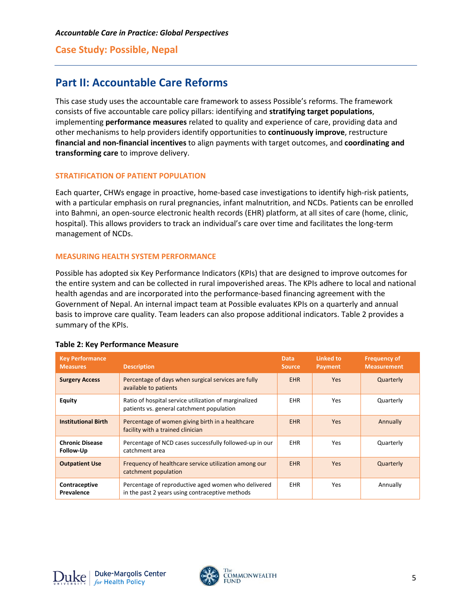# **Part II: Accountable Care Reforms**

This case study uses the accountable care framework to assess Possible's reforms. The framework consists of five accountable care policy pillars: identifying and **stratifying target populations**, implementing **performance measures** related to quality and experience of care, providing data and other mechanisms to help providers identify opportunities to **continuously improve**, restructure **financial and non-financial incentives** to align payments with target outcomes, and **coordinating and transforming care** to improve delivery.

## **STRATIFICATION OF PATIENT POPULATION**

Each quarter, CHWs engage in proactive, home-based case investigations to identify high-risk patients, with a particular emphasis on rural pregnancies, infant malnutrition, and NCDs. Patients can be enrolled into Bahmni, an open-source electronic health records (EHR) platform, at all sites of care (home, clinic, hospital). This allows providers to track an individual's care over time and facilitates the long-term management of NCDs.

## **MEASURING HEALTH SYSTEM PERFORMANCE**

Possible has adopted six Key Performance Indicators (KPIs) that are designed to improve outcomes for the entire system and can be collected in rural impoverished areas. The KPIs adhere to local and national health agendas and are incorporated into the performance-based financing agreement with the Government of Nepal. An internal impact team at Possible evaluates KPIs on a quarterly and annual basis to improve care quality. Team leaders can also propose additional indicators. Table 2 provides a summary of the KPIs.

| <b>Key Performance</b><br><b>Measures</b>                                                                                             | <b>Description</b>                                                                                               | Data.<br><b>Source</b> | <b>Linked to</b><br><b>Payment</b> | <b>Frequency of</b><br><b>Measurement</b> |
|---------------------------------------------------------------------------------------------------------------------------------------|------------------------------------------------------------------------------------------------------------------|------------------------|------------------------------------|-------------------------------------------|
| <b>Surgery Access</b>                                                                                                                 | Percentage of days when surgical services are fully<br>available to patients                                     | <b>EHR</b>             | <b>Yes</b>                         | Quarterly                                 |
| <b>Equity</b>                                                                                                                         | Ratio of hospital service utilization of marginalized<br><b>EHR</b><br>patients vs. general catchment population |                        | <b>Yes</b>                         | Quarterly                                 |
| <b>Institutional Birth</b>                                                                                                            | Percentage of women giving birth in a healthcare<br>facility with a trained clinician                            | <b>EHR</b>             | <b>Yes</b>                         | Annually                                  |
| <b>Chronic Disease</b><br>Follow-Up                                                                                                   | Percentage of NCD cases successfully followed-up in our<br>catchment area                                        |                        | <b>Yes</b>                         | Quarterly                                 |
| <b>Outpatient Use</b><br>Frequency of healthcare service utilization among our<br>catchment population                                |                                                                                                                  | <b>EHR</b>             | <b>Yes</b>                         | Quarterly                                 |
| Percentage of reproductive aged women who delivered<br>Contraceptive<br>in the past 2 years using contraceptive methods<br>Prevalence |                                                                                                                  | <b>EHR</b>             | Yes                                | Annually                                  |

#### **Table 2: Key Performance Measure**



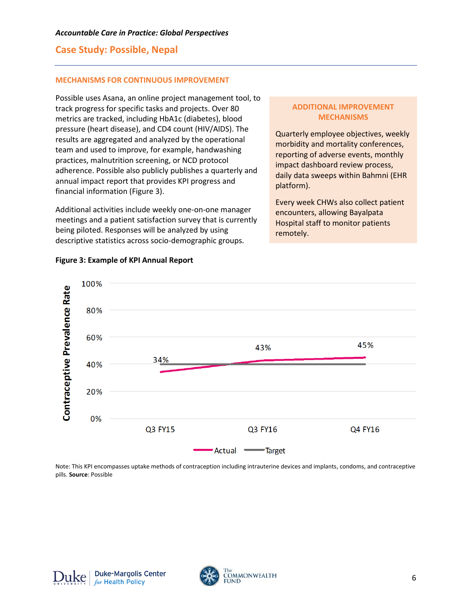#### **MECHANISMS FOR CONTINUOUS IMPROVEMENT**

Possible uses Asana, an online project management tool, to track progress for specific tasks and projects. Over 80 metrics are tracked, including HbA1c (diabetes), blood pressure (heart disease), and CD4 count (HIV/AIDS). The results are aggregated and analyzed by the operational team and used to improve, for example, handwashing practices, malnutrition screening, or NCD protocol adherence. Possible also publicly publishes a quarterly and annual impact report that provides KPI progress and financial information (Figure 3).

Additional activities include weekly one-on-one manager meetings and a patient satisfaction survey that is currently being piloted. Responses will be analyzed by using descriptive statistics across socio-demographic groups.

## **ADDITIONAL IMPROVEMENT MECHANISMS**

Quarterly employee objectives, weekly morbidity and mortality conferences, reporting of adverse events, monthly impact dashboard review process, daily data sweeps within Bahmni (EHR platform).

Every week CHWs also collect patient encounters, allowing Bayalpata Hospital staff to monitor patients remotely.



## **Figure 3: Example of KPI Annual Report**

Note: This KPI encompasses uptake methods of contraception including intrauterine devices and implants, condoms, and contraceptive pills. **Source**: Possible

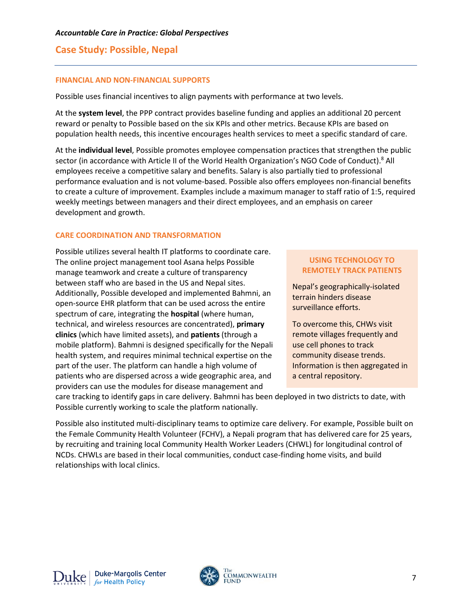#### **FINANCIAL AND NON-FINANCIAL SUPPORTS**

Possible uses financial incentives to align payments with performance at two levels.

At the **system level**, the PPP contract provides baseline funding and applies an additional 20 percent reward or penalty to Possible based on the six KPIs and other metrics. Because KPIs are based on population health needs, this incentive encourages health services to meet a specific standard of care.

At the **individual level**, Possible promotes employee compensation practices that strengthen the public sector (in accordance with Article II of the World Health Organization's NGO Code of Conduct).<sup>8</sup> All employees receive a competitive salary and benefits. Salary is also partially tied to professional performance evaluation and is not volume-based. Possible also offers employees non-financial benefits to create a culture of improvement. Examples include a maximum manager to staff ratio of 1:5, required weekly meetings between managers and their direct employees, and an emphasis on career development and growth.

## **CARE COORDINATION AND TRANSFORMATION**

Possible utilizes several health IT platforms to coordinate care. The online project management tool Asana helps Possible manage teamwork and create a culture of transparency between staff who are based in the US and Nepal sites. Additionally, Possible developed and implemented Bahmni, an open-source EHR platform that can be used across the entire spectrum of care, integrating the **hospital** (where human, technical, and wireless resources are concentrated), **primary clinics** (which have limited assets), and **patients** (through a mobile platform). Bahmni is designed specifically for the Nepali health system, and requires minimal technical expertise on the part of the user. The platform can handle a high volume of patients who are dispersed across a wide geographic area, and providers can use the modules for disease management and

## **USING TECHNOLOGY TO REMOTELY TRACK PATIENTS**

Nepal's geographically-isolated terrain hinders disease surveillance efforts.

To overcome this, CHWs visit remote villages frequently and use cell phones to track community disease trends. Information is then aggregated in a central repository.

care tracking to identify gaps in care delivery. Bahmni has been deployed in two districts to date, with Possible currently working to scale the platform nationally.

Possible also instituted multi-disciplinary teams to optimize care delivery. For example, Possible built on the Female Community Health Volunteer (FCHV), a Nepali program that has delivered care for 25 years, by recruiting and training local Community Health Worker Leaders (CHWL) for longitudinal control of NCDs. CHWLs are based in their local communities, conduct case-finding home visits, and build relationships with local clinics.

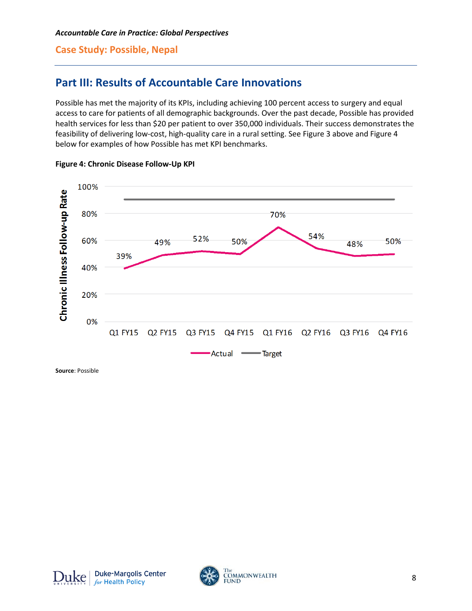# **Part III: Results of Accountable Care Innovations**

Possible has met the majority of its KPIs, including achieving 100 percent access to surgery and equal access to care for patients of all demographic backgrounds. Over the past decade, Possible has provided health services for less than \$20 per patient to over 350,000 individuals. Their success demonstrates the feasibility of delivering low-cost, high-quality care in a rural setting. See Figure 3 above and Figure 4 below for examples of how Possible has met KPI benchmarks.



## **Figure 4: Chronic Disease Follow-Up KPI**

**Source**: Possible



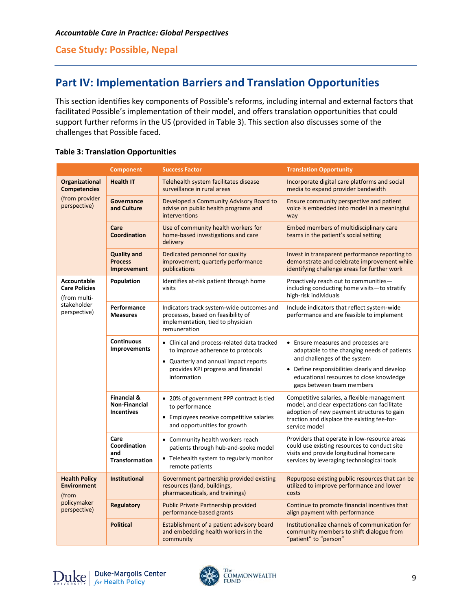# **Part IV: Implementation Barriers and Translation Opportunities**

This section identifies key components of Possible's reforms, including internal and external factors that facilitated Possible's implementation of their model, and offers translation opportunities that could support further reforms in the US (provided in Table 3). This section also discusses some of the challenges that Possible faced.

| <b>Table 3: Translation Opportunities</b> |  |
|-------------------------------------------|--|
|-------------------------------------------|--|

|                                                                                    | <b>Component</b>                                                    | <b>Success Factor</b>                                                                                                                                                           | <b>Translation Opportunity</b>                                                                                                                                                                                                               |
|------------------------------------------------------------------------------------|---------------------------------------------------------------------|---------------------------------------------------------------------------------------------------------------------------------------------------------------------------------|----------------------------------------------------------------------------------------------------------------------------------------------------------------------------------------------------------------------------------------------|
| Organizational<br><b>Competencies</b><br>(from provider<br>perspective)            | <b>Health IT</b>                                                    | Telehealth system facilitates disease<br>surveillance in rural areas                                                                                                            | Incorporate digital care platforms and social<br>media to expand provider bandwidth                                                                                                                                                          |
|                                                                                    | Governance<br>and Culture                                           | Developed a Community Advisory Board to<br>advise on public health programs and<br>interventions                                                                                | Ensure community perspective and patient<br>voice is embedded into model in a meaningful<br>way                                                                                                                                              |
|                                                                                    | Care<br><b>Coordination</b>                                         | Use of community health workers for<br>home-based investigations and care<br>delivery                                                                                           | Embed members of multidisciplinary care<br>teams in the patient's social setting                                                                                                                                                             |
|                                                                                    | <b>Quality and</b><br><b>Process</b><br><b>Improvement</b>          | Dedicated personnel for quality<br>improvement; quarterly performance<br>publications                                                                                           | Invest in transparent performance reporting to<br>demonstrate and celebrate improvement while<br>identifying challenge areas for further work                                                                                                |
| Accountable<br><b>Care Policies</b><br>(from multi-<br>stakeholder<br>perspective) | Population                                                          | Identifies at-risk patient through home<br>visits                                                                                                                               | Proactively reach out to communities-<br>including conducting home visits-to stratify<br>high-risk individuals                                                                                                                               |
|                                                                                    | Performance<br><b>Measures</b>                                      | Indicators track system-wide outcomes and<br>processes, based on feasibility of<br>implementation, tied to physician<br>remuneration                                            | Include indicators that reflect system-wide<br>performance and are feasible to implement                                                                                                                                                     |
|                                                                                    | <b>Continuous</b><br><b>Improvements</b>                            | • Clinical and process-related data tracked<br>to improve adherence to protocols<br>• Quarterly and annual impact reports<br>provides KPI progress and financial<br>information | • Ensure measures and processes are<br>adaptable to the changing needs of patients<br>and challenges of the system<br>• Define responsibilities clearly and develop<br>educational resources to close knowledge<br>gaps between team members |
|                                                                                    | <b>Financial &amp;</b><br><b>Non-Financial</b><br><b>Incentives</b> | • 20% of government PPP contract is tied<br>to performance<br>• Employees receive competitive salaries<br>and opportunities for growth                                          | Competitive salaries, a flexible management<br>model, and clear expectations can facilitate<br>adoption of new payment structures to gain<br>traction and displace the existing fee-for-<br>service model                                    |
|                                                                                    | Care<br>Coordination<br>and<br><b>Transformation</b>                | • Community health workers reach<br>patients through hub-and-spoke model<br>• Telehealth system to regularly monitor<br>remote patients                                         | Providers that operate in low-resource areas<br>could use existing resources to conduct site<br>visits and provide longitudinal homecare<br>services by leveraging technological tools                                                       |
| <b>Health Policy</b><br><b>Environment</b><br>(from<br>policymaker<br>perspective) | <b>Institutional</b>                                                | Government partnership provided existing<br>resources (land, buildings,<br>pharmaceuticals, and trainings)                                                                      | Repurpose existing public resources that can be<br>utilized to improve performance and lower<br>costs                                                                                                                                        |
|                                                                                    | <b>Regulatory</b>                                                   | Public Private Partnership provided<br>performance-based grants                                                                                                                 | Continue to promote financial incentives that<br>align payment with performance                                                                                                                                                              |
|                                                                                    | <b>Political</b>                                                    | Establishment of a patient advisory board<br>and embedding health workers in the<br>community                                                                                   | Institutionalize channels of communication for<br>community members to shift dialogue from<br>"patient" to "person"                                                                                                                          |

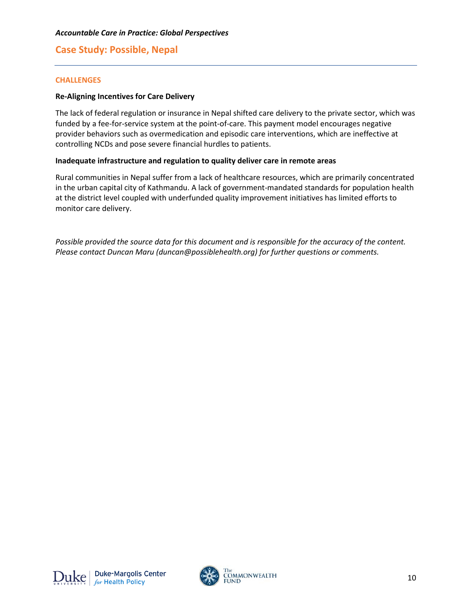## **CHALLENGES**

#### **Re-Aligning Incentives for Care Delivery**

The lack of federal regulation or insurance in Nepal shifted care delivery to the private sector, which was funded by a fee-for-service system at the point-of-care. This payment model encourages negative provider behaviors such as overmedication and episodic care interventions, which are ineffective at controlling NCDs and pose severe financial hurdles to patients.

## **Inadequate infrastructure and regulation to quality deliver care in remote areas**

Rural communities in Nepal suffer from a lack of healthcare resources, which are primarily concentrated in the urban capital city of Kathmandu. A lack of government-mandated standards for population health at the district level coupled with underfunded quality improvement initiatives has limited efforts to monitor care delivery.

*Possible provided the source data for this document and is responsible for the accuracy of the content. Please contact Duncan Maru (duncan@possiblehealth.org) for further questions or comments.*